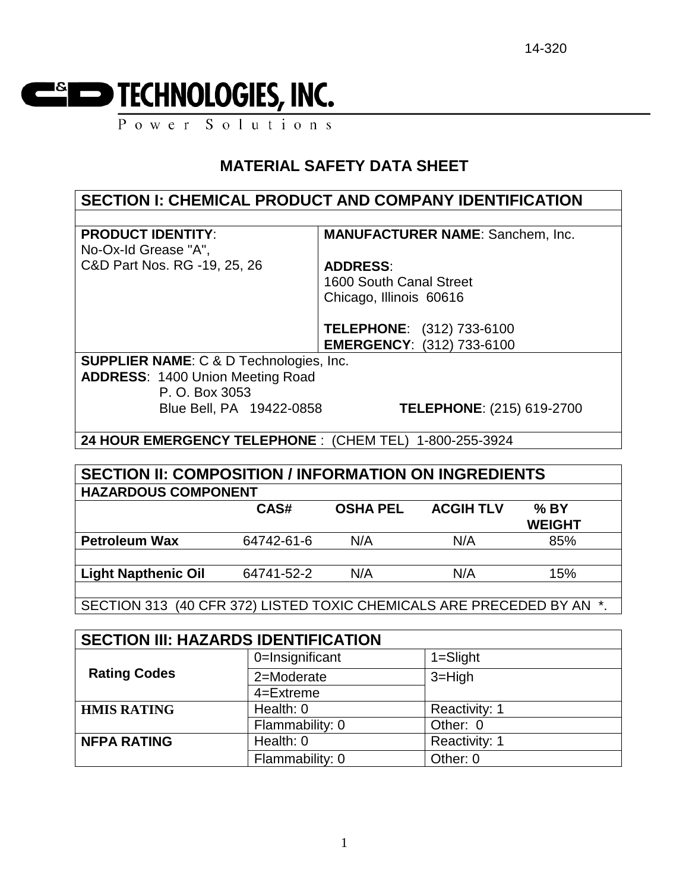

Power Solutions

# **MATERIAL SAFETY DATA SHEET**

| <b>SECTION I: CHEMICAL PRODUCT AND COMPANY IDENTIFICATION</b> |                         |                                         |               |  |
|---------------------------------------------------------------|-------------------------|-----------------------------------------|---------------|--|
|                                                               |                         |                                         |               |  |
| <b>PRODUCT IDENTITY:</b>                                      |                         | <b>MANUFACTURER NAME: Sanchem, Inc.</b> |               |  |
| No-Ox-Id Grease "A",                                          |                         |                                         |               |  |
| C&D Part Nos. RG -19, 25, 26                                  | <b>ADDRESS:</b>         |                                         |               |  |
|                                                               | 1600 South Canal Street |                                         |               |  |
|                                                               | Chicago, Illinois 60616 |                                         |               |  |
|                                                               |                         |                                         |               |  |
|                                                               |                         | TELEPHONE: (312) 733-6100               |               |  |
|                                                               |                         | <b>EMERGENCY: (312) 733-6100</b>        |               |  |
| <b>SUPPLIER NAME: C &amp; D Technologies, Inc.</b>            |                         |                                         |               |  |
| <b>ADDRESS: 1400 Union Meeting Road</b>                       |                         |                                         |               |  |
| P. O. Box 3053                                                |                         |                                         |               |  |
| Blue Bell, PA 19422-0858                                      |                         | <b>TELEPHONE: (215) 619-2700</b>        |               |  |
|                                                               |                         |                                         |               |  |
| 24 HOUR EMERGENCY TELEPHONE : (CHEM TEL) 1-800-255-3924       |                         |                                         |               |  |
|                                                               |                         |                                         |               |  |
| <b>SECTION II: COMPOSITION / INFORMATION ON INGREDIENTS</b>   |                         |                                         |               |  |
| <b>HAZARDOUS COMPONENT</b>                                    |                         |                                         |               |  |
| CAS#                                                          | <b>OSHA PEL</b>         | <b>ACGIH TLV</b>                        | $%$ BY        |  |
|                                                               |                         |                                         | <b>WEIGHT</b> |  |
| <b>Petroleum Wax</b><br>64742-61-6                            | N/A                     | N/A                                     | 85%           |  |
|                                                               |                         |                                         |               |  |

SECTION 313 (40 CFR 372) LISTED TOXIC CHEMICALS ARE PRECEDED BY AN \*.

**Light Napthenic Oil** 64741-52-2 N/A N/A 15%

| <b>SECTION III: HAZARDS IDENTIFICATION</b> |                 |               |  |
|--------------------------------------------|-----------------|---------------|--|
|                                            | 0=Insignificant | $1 =$ Slight  |  |
| <b>Rating Codes</b>                        | 2=Moderate      | $3 = High$    |  |
|                                            | 4=Extreme       |               |  |
| <b>HMIS RATING</b>                         | Health: 0       | Reactivity: 1 |  |
|                                            | Flammability: 0 | Other: 0      |  |
| <b>NFPA RATING</b>                         | Health: 0       | Reactivity: 1 |  |
|                                            | Flammability: 0 | Other: 0      |  |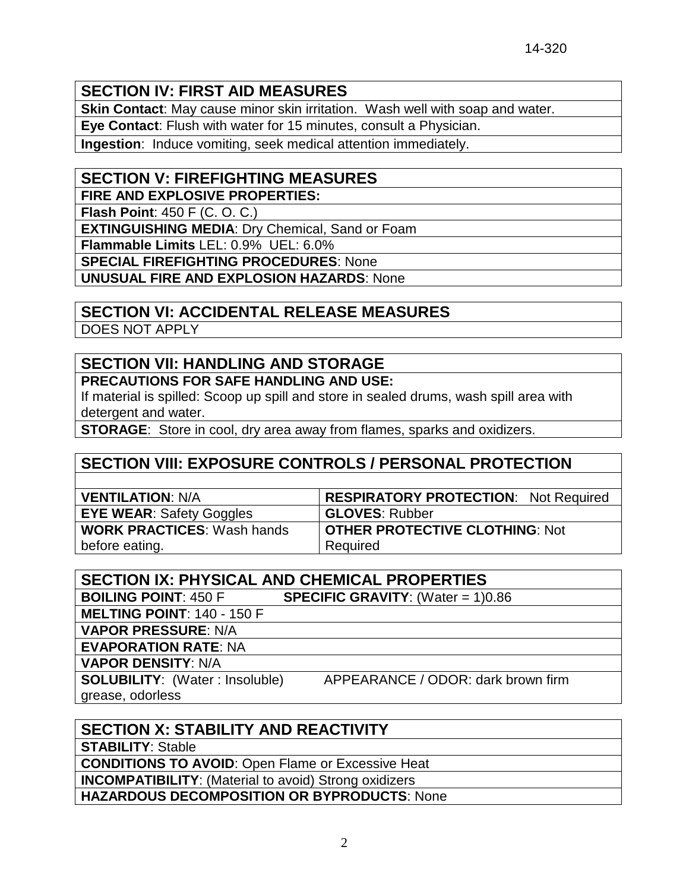### **SECTION IV: FIRST AID MEASURES**

**Skin Contact**: May cause minor skin irritation. Wash well with soap and water. **Eye Contact**: Flush with water for 15 minutes, consult a Physician.

**Ingestion**: Induce vomiting, seek medical attention immediately.

#### **SECTION V: FIREFIGHTING MEASURES**

**FIRE AND EXPLOSIVE PROPERTIES:**

**Flash Point**: 450 F (C. O. C.)

**EXTINGUISHING MEDIA**: Dry Chemical, Sand or Foam

**Flammable Limits** LEL: 0.9% UEL: 6.0%

**SPECIAL FIREFIGHTING PROCEDURES**: None

**UNUSUAL FIRE AND EXPLOSION HAZARDS**: None

# **SECTION VI: ACCIDENTAL RELEASE MEASURES**

DOES NOT APPLY

# **SECTION VII: HANDLING AND STORAGE**

**PRECAUTIONS FOR SAFE HANDLING AND USE:**

If material is spilled: Scoop up spill and store in sealed drums, wash spill area with detergent and water.

**STORAGE**: Store in cool, dry area away from flames, sparks and oxidizers.

# **SECTION VIII: EXPOSURE CONTROLS / PERSONAL PROTECTION**

| <b>VENTILATION: N/A</b>           | <b>RESPIRATORY PROTECTION: Not Required</b> |
|-----------------------------------|---------------------------------------------|
| <b>EYE WEAR: Safety Goggles</b>   | <b>GLOVES: Rubber</b>                       |
| <b>WORK PRACTICES: Wash hands</b> | <b>OTHER PROTECTIVE CLOTHING: Not</b>       |
| before eating.                    | Required                                    |

| <b>SECTION IX: PHYSICAL AND CHEMICAL PROPERTIES</b> |                                            |  |  |
|-----------------------------------------------------|--------------------------------------------|--|--|
| <b>BOILING POINT: 450 F</b>                         | <b>SPECIFIC GRAVITY:</b> (Water = $1)0.86$ |  |  |
| <b>MELTING POINT: 140 - 150 F</b>                   |                                            |  |  |
| <b>VAPOR PRESSURE: N/A</b>                          |                                            |  |  |
| <b>EVAPORATION RATE: NA</b>                         |                                            |  |  |
| <b>VAPOR DENSITY: N/A</b>                           |                                            |  |  |
| <b>SOLUBILITY:</b> (Water: Insoluble)               | APPEARANCE / ODOR: dark brown firm         |  |  |
| grease, odorless                                    |                                            |  |  |

| <b>SECTION X: STABILITY AND REACTIVITY</b>                   |
|--------------------------------------------------------------|
| <b>STABILITY: Stable</b>                                     |
| <b>CONDITIONS TO AVOID:</b> Open Flame or Excessive Heat     |
| <b>INCOMPATIBILITY:</b> (Material to avoid) Strong oxidizers |
| HAZARDOUS DECOMPOSITION OR BYPRODUCTS: None                  |